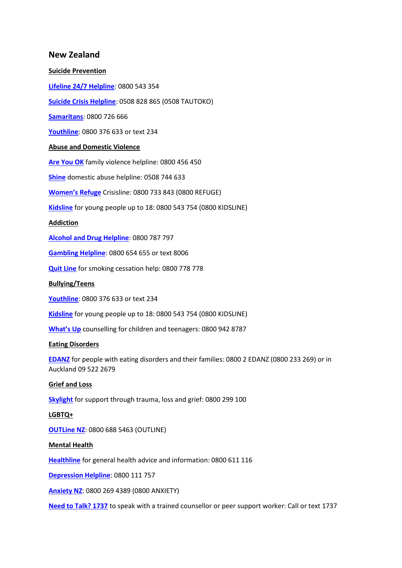# **New Zealand**

#### **Suicide Prevention**

**[Lifeline 24/7 Helpline](https://www.lifeline.org.nz/)**: 0800 543 354

**[Suicide Crisis Helpline](https://www.lifeline.org.nz/services/suicide-crisis-helpline)**: 0508 828 865 (0508 TAUTOKO)

**[Samaritans](http://samaritans.org.nz/)**: 0800 726 666

**[Youthline](https://www.youthline.co.nz/)**: 0800 376 633 or text 234

## **Abuse and Domestic Violence**

**[Are You OK](http://www.areyouok.org.nz/)** family violence helpline: 0800 456 450

**[Shine](https://www.2shine.org.nz/)** domestic abuse helpline: 0508 744 633

**[Women's Refuge](https://womensrefuge.org.nz/about-us/)** Crisisline: 0800 733 843 (0800 REFUGE)

**[Kidsline](https://www.lifeline.org.nz/services/kidsline)** for young people up to 18: 0800 543 754 (0800 KIDSLINE)

### **Addiction**

**[Alcohol and Drug Helpline](https://alcoholdrughelp.org.nz/)**: 0800 787 797

**[Gambling Helpline](https://gamblinghelpline.co.nz/contact)**: 0800 654 655 or text 8006

**[Quit Line](https://quit.org.nz/)** for smoking cessation help: 0800 778 778

**Bullying/Teens**

**[Youthline](https://www.youthline.co.nz/)**: 0800 376 633 or text 234

**[Kidsline](https://www.lifeline.org.nz/services/kidsline)** for young people up to 18: 0800 543 754 (0800 KIDSLINE)

**[What's Up](https://www.whatsup.co.nz/)** counselling for children and teenagers: 0800 942 8787

### **Eating Disorders**

**[EDANZ](https://www.ed.org.nz/)** for people with eating disorders and their families: 0800 2 EDANZ (0800 233 269) or in Auckland 09 522 2679

### **Grief and Loss**

**[Skylight](https://www.skylight.org.nz/)** for support through trauma, loss and grief: 0800 299 100

### **LGBTQ+**

**[OUTLine NZ](http://www.outline.org.nz/)**: 0800 688 5463 (OUTLINE)

#### **Mental Health**

**[Healthline](https://www.health.govt.nz/your-health/services-and-support/health-care-services/healthline)** for general health advice and information: 0800 611 116

**[Depression Helpline](https://depression.org.nz/)**: 0800 111 757

**[Anxiety NZ](https://www.anxiety.org.nz/)**: 0800 269 4389 (0800 ANXIETY)

**[Need to Talk? 1737](https://1737.org.nz/)** to speak with a trained counsellor or peer support worker: Call or text 1737